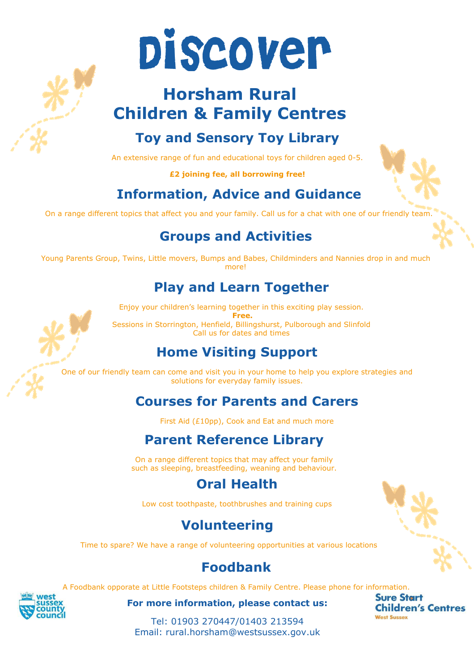

# **Horsham Rural Children & Family Centres**

# **Toy and Sensory Toy Library**

An extensive range of fun and educational toys for children aged 0-5.

**£2 joining fee, all borrowing free!** 

# **Information, Advice and Guidance**

On a range different topics that affect you and your family. Call us for a chat with one of our friendly tean

#### **Groups and Activities**

Young Parents Group, Twins, Little movers, Bumps and Babes, Childminders and Nannies drop in and much more!

#### **Play and Learn Together**

Enjoy your children's learning together in this exciting play session.  **Free.**  Sessions in Storrington, Henfield, Billingshurst, Pulborough and Slinfold Call us for dates and times

# **Home Visiting Support**

One of our friendly team can come and visit you in your home to help you explore strategies and solutions for everyday family issues.

# **Courses for Parents and Carers**

First Aid (£10pp), Cook and Eat and much more

# **Parent Reference Library**

On a range different topics that may affect your family such as sleeping, breastfeeding, weaning and behaviour.

### **Oral Health**

Low cost toothpaste, toothbrushes and training cups

### **Volunteering**

Time to spare? We have a range of volunteering opportunities at various locations

### **Foodbank**

A Foodbank opporate at Little Footsteps children & Family Centre. Please phone for information.

**For more information, please contact us:**

**Sure Start Children's Centres West Sussex** 

Tel: 01903 270447/01403 213594 Email: rural.horsham@westsussex.gov.uk